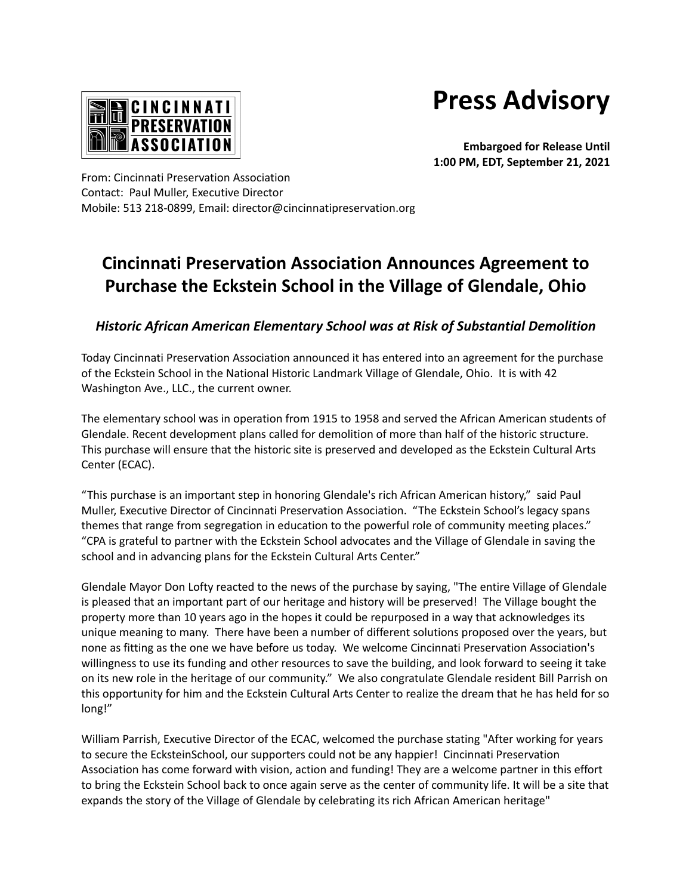**Press Advisory**



**Embargoed for Release Until 1:00 PM, EDT, September 21, 2021**

From: Cincinnati Preservation Association Contact: Paul Muller, Executive Director Mobile: 513 218-0899, Email: director@cincinnatipreservation.org

## **Cincinnati Preservation Association Announces Agreement to Purchase the Eckstein School in the Village of Glendale, Ohio**

## *Historic African American Elementary School was at Risk of Substantial Demolition*

Today Cincinnati Preservation Association announced it has entered into an agreement for the purchase of the Eckstein School in the National Historic Landmark Village of Glendale, Ohio. It is with 42 Washington Ave., LLC., the current owner.

The elementary school was in operation from 1915 to 1958 and served the African American students of Glendale. Recent development plans called for demolition of more than half of the historic structure. This purchase will ensure that the historic site is preserved and developed as the Eckstein Cultural Arts Center (ECAC).

"This purchase is an important step in honoring Glendale's rich African American history," said Paul Muller, Executive Director of Cincinnati Preservation Association. "The Eckstein School's legacy spans themes that range from segregation in education to the powerful role of community meeting places." "CPA is grateful to partner with the Eckstein School advocates and the Village of Glendale in saving the school and in advancing plans for the Eckstein Cultural Arts Center."

Glendale Mayor Don Lofty reacted to the news of the purchase by saying, "The entire Village of Glendale is pleased that an important part of our heritage and history will be preserved! The Village bought the property more than 10 years ago in the hopes it could be repurposed in a way that acknowledges its unique meaning to many. There have been a number of different solutions proposed over the years, but none as fitting as the one we have before us today. We welcome Cincinnati Preservation Association's willingness to use its funding and other resources to save the building, and look forward to seeing it take on its new role in the heritage of our community." We also congratulate Glendale resident Bill Parrish on this opportunity for him and the Eckstein Cultural Arts Center to realize the dream that he has held for so long!"

William Parrish, Executive Director of the ECAC, welcomed the purchase stating "After working for years to secure the EcksteinSchool, our supporters could not be any happier! Cincinnati Preservation Association has come forward with vision, action and funding! They are a welcome partner in this effort to bring the Eckstein School back to once again serve as the center of community life. It will be a site that expands the story of the Village of Glendale by celebrating its rich African American heritage"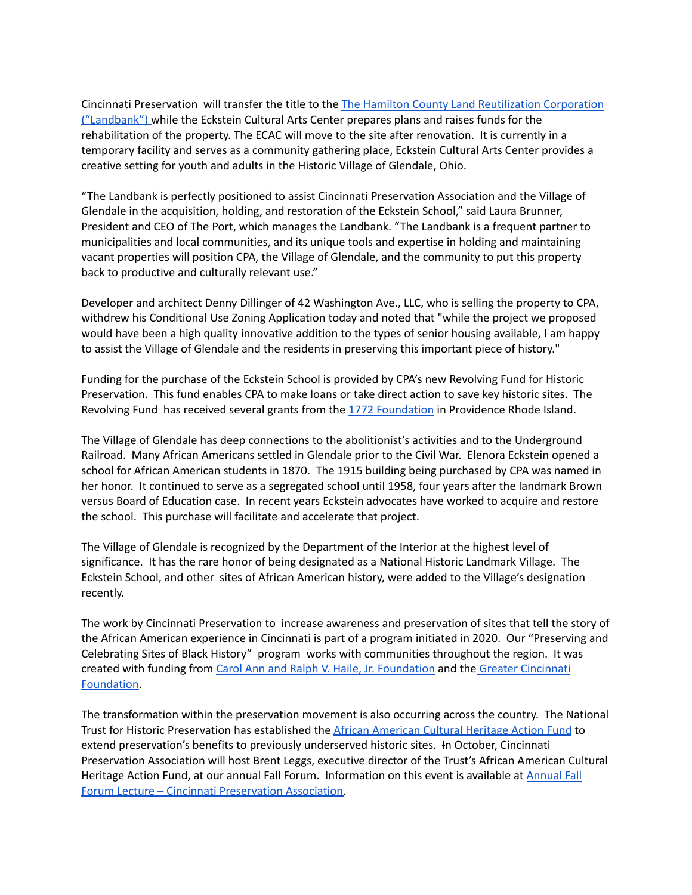Cincinnati Preservation will transfer the title to the The Hamilton County Land [Reutilization](https://www.hamiltoncountylandbank.org/) Corporation [\("Landbank"\)](https://www.hamiltoncountylandbank.org/) while the Eckstein Cultural Arts Center prepares plans and raises funds for the rehabilitation of the property. The ECAC will move to the site after renovation. It is currently in a temporary facility and serves as a community gathering place, Eckstein Cultural Arts Center provides a creative setting for youth and adults in the Historic Village of Glendale, Ohio.

"The Landbank is perfectly positioned to assist Cincinnati Preservation Association and the Village of Glendale in the acquisition, holding, and restoration of the Eckstein School," said Laura Brunner, President and CEO of The Port, which manages the Landbank. "The Landbank is a frequent partner to municipalities and local communities, and its unique tools and expertise in holding and maintaining vacant properties will position CPA, the Village of Glendale, and the community to put this property back to productive and culturally relevant use."

Developer and architect Denny Dillinger of 42 Washington Ave., LLC, who is selling the property to CPA, withdrew his Conditional Use Zoning Application today and noted that "while the project we proposed would have been a high quality innovative addition to the types of senior housing available, I am happy to assist the Village of Glendale and the residents in preserving this important piece of history."

Funding for the purchase of the Eckstein School is provided by CPA's new Revolving Fund for Historic Preservation. This fund enables CPA to make loans or take direct action to save key historic sites. The Revolving Fund has received several grants from the 1772 [Foundation](https://1772foundation.org/) in Providence Rhode Island.

The Village of Glendale has deep connections to the abolitionist's activities and to the Underground Railroad. Many African Americans settled in Glendale prior to the Civil War. Elenora Eckstein opened a school for African American students in 1870. The 1915 building being purchased by CPA was named in her honor. It continued to serve as a segregated school until 1958, four years after the landmark Brown versus Board of Education case. In recent years Eckstein advocates have worked to acquire and restore the school. This purchase will facilitate and accelerate that project.

The Village of Glendale is recognized by the Department of the Interior at the highest level of significance. It has the rare honor of being designated as a National Historic Landmark Village. The Eckstein School, and other sites of African American history, were added to the Village's designation recently.

The work by Cincinnati Preservation to increase awareness and preservation of sites that tell the story of the African American experience in Cincinnati is part of a program initiated in 2020. Our "Preserving and Celebrating Sites of Black History" program works with communities throughout the region. It was created with funding from Carol Ann and Ralph V. Haile, Jr. [Foundation](https://www.hailefoundation.org/) and the Greater [Cincinnati](https://www.gcfdn.org/) [Foundation.](https://www.gcfdn.org/)

The transformation within the preservation movement is also occurring across the country. The National Trust for Historic Preservation has established the African [American](https://savingplaces.org/african-american-cultural-heritage#.YUkejrhKiUk) Cultural Heritage Action Fund to extend preservation's benefits to previously underserved historic sites. In October, Cincinnati Preservation Association will host Brent Leggs, executive director of the Trust's African American Cultural Heritage Action Fund, at our annual Fall Forum. Information on this event is available at [Annual](https://cincinnatipreservation.org/annual-fall-forum-lectures/) Fall Forum Lecture – Cincinnati [Preservation](https://cincinnatipreservation.org/annual-fall-forum-lectures/) Association.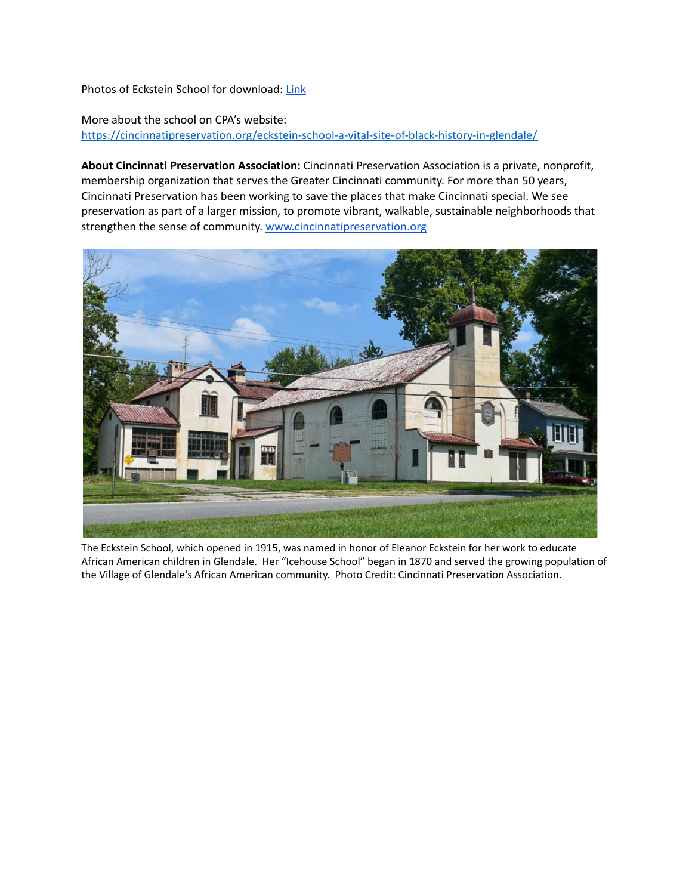Photos of Eckstein School for download: [Link](https://drive.google.com/drive/folders/16ufPWrOcGmTqodDvGG9U5t-PsKmQ7Gnn?usp=sharing)

More about the school on CPA's website: <https://cincinnatipreservation.org/eckstein-school-a-vital-site-of-black-history-in-glendale/>

**About Cincinnati Preservation Association:** Cincinnati Preservation Association is a private, nonprofit, membership organization that serves the Greater Cincinnati community. For more than 50 years, Cincinnati Preservation has been working to save the places that make Cincinnati special. We see preservation as part of a larger mission, to promote vibrant, walkable, sustainable neighborhoods that strengthen the sense of community. [www.cincinnatipreservation.org](http://www.cincinnatipreservation.org)



The Eckstein School, which opened in 1915, was named in honor of Eleanor Eckstein for her work to educate African American children in Glendale. Her "Icehouse School" began in 1870 and served the growing population of the Village of Glendale's African American community. Photo Credit: Cincinnati Preservation Association.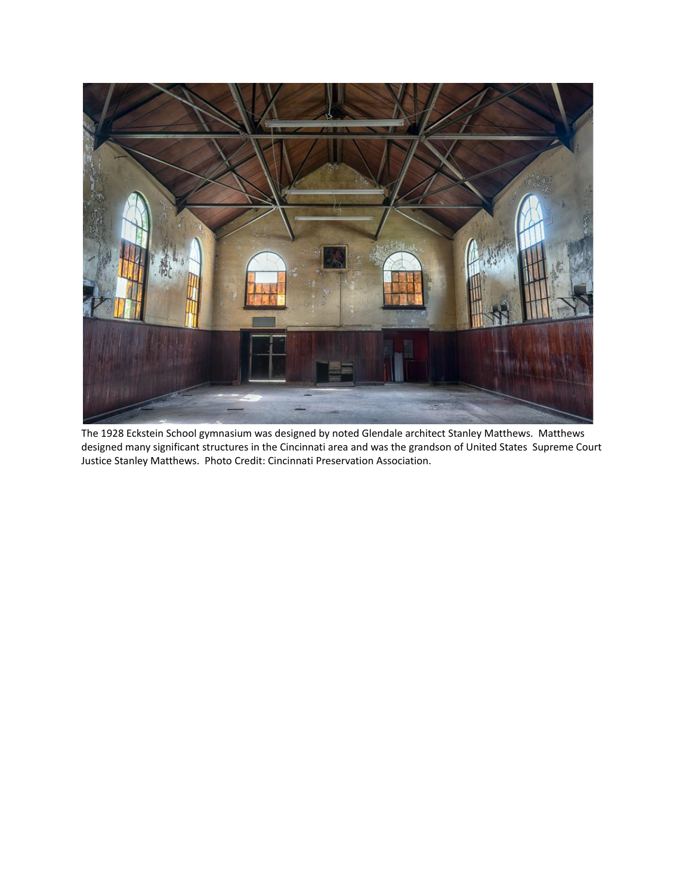

The 1928 Eckstein School gymnasium was designed by noted Glendale architect Stanley Matthews. Matthews designed many significant structures in the Cincinnati area and was the grandson of United States Supreme Court Justice Stanley Matthews. Photo Credit: Cincinnati Preservation Association.